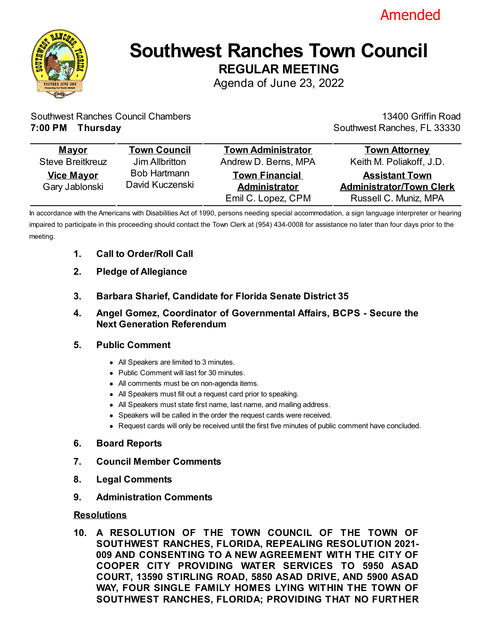



# **Southwest Ranches Town Council REGULAR MEETING**

Agenda of June 23, 2022

Southwest Ranches Council Chambers **7:00 PM Thursday**

13400 Griffin Road Southwest Ranches, FL 33330

| <b>Mayor</b>                        | <b>Town Council</b>                    | <b>Town Administrator</b>                                           | <b>Town Attorney</b>                                                              |
|-------------------------------------|----------------------------------------|---------------------------------------------------------------------|-----------------------------------------------------------------------------------|
| <b>Steve Breitkreuz</b>             | Jim Allbritton                         | Andrew D. Berns, MPA                                                | Keith M. Poliakoff, J.D.                                                          |
| <b>Vice Mayor</b><br>Gary Jablonski | <b>Bob Hartmann</b><br>David Kuczenski | <b>Town Financial</b><br><b>Administrator</b><br>Emil C. Lopez, CPM | <b>Assistant Town</b><br><b>Administrator/Town Clerk</b><br>Russell C. Muniz, MPA |

In accordance with the Americans with Disabilities Act of 1990, persons needing special accommodation, a sign language interpreter or hearing impaired to participate in this proceeding should contact the Town Clerk at (954) 434-0008 for assistance no later than four days prior to the meeting.

- **1. Call to Order/Roll Call**
- **2. Pledge of Allegiance**
- **3. Barbara Sharief, Candidate for Florida Senate District 35**
- **4. Angel Gomez, Coordinator of Governmental Affairs, BCPS Secure the Next Generation Referendum**

## **5. Public Comment**

- All Speakers are limited to 3 minutes.
- Public Comment will last for 30 minutes.
- All comments must be on non-agenda items.
- All Speakers must fill out a request card prior to speaking.
- All Speakers must state first name, last name, and mailing address.
- Speakers will be called in the order the request cards were received.
- Request cards will only be received until the first five minutes of public comment have concluded.

## **6. Board Reports**

- **7. Council Member Comments**
- **8. Legal Comments**
- **9. Administration Comments**

## **Resolutions**

**10. A RESOLUTION OF THE TOWN COUNCIL OF THE TOWN OF SOUTHWEST RANCHES, FLORIDA, REPEALING RESOLUTION 2021- [009 AND CONSENTING TO A NEW AGREEMENT WITH THE CITY OF](file:///C:/Windows/TEMP/CoverSheet.aspx?ItemID=1300&MeetingID=236) COOPER CITY PROVIDING WATER SERVICES TO 5950 ASAD COURT, 13590 STIRLING ROAD, 5850 ASAD DRIVE, AND 5900 ASAD WAY, FOUR SINGLE FAMILY HOMES LYING WITHIN THE TOWN OF SOUTHWEST RANCHES, FLORIDA; PROVIDING THAT NO FURTHER**